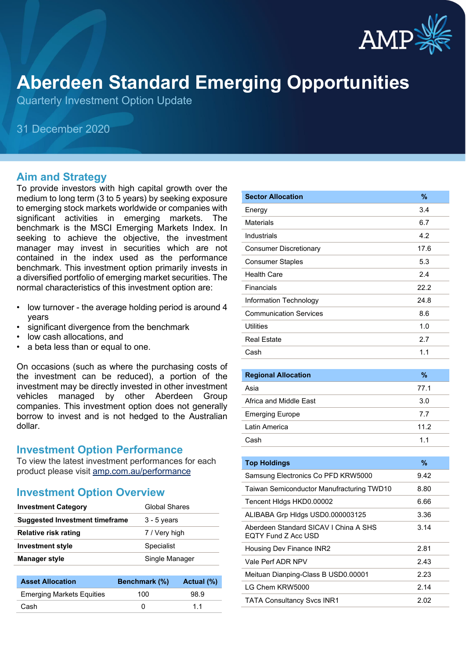

# **Aberdeen Standard Emerging Opportunities**

Quarterly Investment Option Update

# 31 December 2020

#### **Aim and Strategy**

To provide investors with high capital growth over the medium to long term (3 to 5 years) by seeking exposure to emerging stock markets worldwide or companies with significant activities in emerging markets. The benchmark is the MSCI Emerging Markets Index. In seeking to achieve the objective, the investment manager may invest in securities which are not contained in the index used as the performance benchmark. This investment option primarily invests in a diversified portfolio of emerging market securities. The normal characteristics of this investment option are:

- low turnover the average holding period is around 4 years
- significant divergence from the benchmark
- low cash allocations, and
- a beta less than or equal to one.

On occasions (such as where the purchasing costs of the investment can be reduced), a portion of the investment may be directly invested in other investment vehicles managed by other Aberdeen Group companies. This investment option does not generally borrow to invest and is not hedged to the Australian dollar.

#### **Investment Option Performance**

To view the latest investment performances for each product please visit [amp.com.au/performance](https://www.amp.com.au/performance)

#### **Investment Option Overview**

| <b>Global Shares</b> |
|----------------------|
| $3 - 5$ years        |
| 7 / Very high        |
| Specialist           |
| Single Manager       |
|                      |

| <b>Asset Allocation</b>          | Benchmark (%) | Actual (%) |
|----------------------------------|---------------|------------|
| <b>Emerging Markets Equities</b> | 100           | 98.9       |
| Cash                             |               | 11         |

| <b>Sector Allocation</b>      | %    |
|-------------------------------|------|
| Energy                        | 3.4  |
| Materials                     | 6.7  |
| Industrials                   | 4.2  |
| <b>Consumer Discretionary</b> | 17.6 |
| <b>Consumer Staples</b>       | 5.3  |
| <b>Health Care</b>            | 2.4  |
| Financials                    | 22.2 |
| Information Technology        | 24.8 |
| <b>Communication Services</b> | 8.6  |
| Utilities                     | 1.0  |
| <b>Real Estate</b>            | 2.7  |
| Cash                          | 1.1  |
|                               |      |

| <b>Regional Allocation</b> | %    |
|----------------------------|------|
| Asia                       | 77.1 |
| Africa and Middle Fast     | 3.0  |
| <b>Emerging Europe</b>     | 7.7  |
| Latin America              | 11.2 |
| Cash                       | 11   |

| <b>Top Holdings</b>                                          | $\frac{9}{6}$ |
|--------------------------------------------------------------|---------------|
| Samsung Electronics Co PFD KRW5000                           | 9.42          |
| Taiwan Semiconductor Manufracturing TWD10                    | 8.80          |
| Tencent Hidgs HKD0.00002                                     | 6.66          |
| ALIBABA Grp Hldgs USD0.000003125                             | 3.36          |
| Aberdeen Standard SICAV I China A SHS<br>EQTY Fund Z Acc USD | 3.14          |
| Housing Dev Finance INR2                                     | 2.81          |
| Vale Perf ADR NPV                                            | 2.43          |
| Meituan Dianping-Class B USD0.00001                          | 2.23          |
| LG Chem KRW5000                                              | 2.14          |
| <b>TATA Consultancy Svcs INR1</b>                            | 2.02          |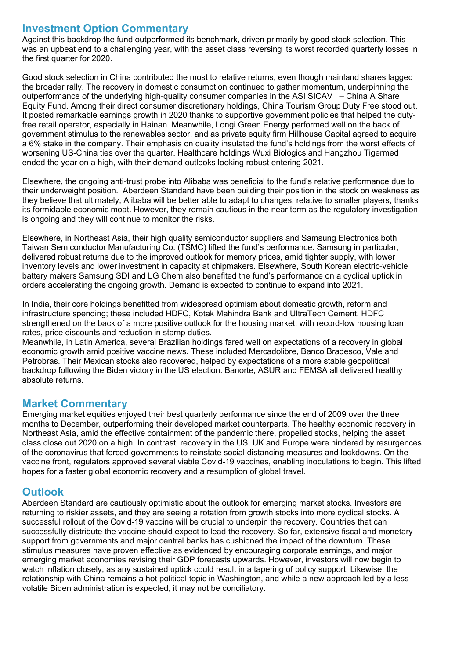## **Investment Option Commentary**

Against this backdrop the fund outperformed its benchmark, driven primarily by good stock selection. This was an upbeat end to a challenging year, with the asset class reversing its worst recorded quarterly losses in the first quarter for 2020.

Good stock selection in China contributed the most to relative returns, even though mainland shares lagged the broader rally. The recovery in domestic consumption continued to gather momentum, underpinning the outperformance of the underlying high-quality consumer companies in the ASI SICAV I – China A Share Equity Fund. Among their direct consumer discretionary holdings, China Tourism Group Duty Free stood out. It posted remarkable earnings growth in 2020 thanks to supportive government policies that helped the dutyfree retail operator, especially in Hainan. Meanwhile, Longi Green Energy performed well on the back of government stimulus to the renewables sector, and as private equity firm Hillhouse Capital agreed to acquire a 6% stake in the company. Their emphasis on quality insulated the fund's holdings from the worst effects of worsening US-China ties over the quarter. Healthcare holdings Wuxi Biologics and Hangzhou Tigermed ended the year on a high, with their demand outlooks looking robust entering 2021.

Elsewhere, the ongoing anti-trust probe into Alibaba was beneficial to the fund's relative performance due to their underweight position. Aberdeen Standard have been building their position in the stock on weakness as they believe that ultimately, Alibaba will be better able to adapt to changes, relative to smaller players, thanks its formidable economic moat. However, they remain cautious in the near term as the regulatory investigation is ongoing and they will continue to monitor the risks.

Elsewhere, in Northeast Asia, their high quality semiconductor suppliers and Samsung Electronics both Taiwan Semiconductor Manufacturing Co. (TSMC) lifted the fund's performance. Samsung in particular, delivered robust returns due to the improved outlook for memory prices, amid tighter supply, with lower inventory levels and lower investment in capacity at chipmakers. Elsewhere, South Korean electric-vehicle battery makers Samsung SDI and LG Chem also benefited the fund's performance on a cyclical uptick in orders accelerating the ongoing growth. Demand is expected to continue to expand into 2021.

In India, their core holdings benefitted from widespread optimism about domestic growth, reform and infrastructure spending; these included HDFC, Kotak Mahindra Bank and UltraTech Cement. HDFC strengthened on the back of a more positive outlook for the housing market, with record-low housing loan rates, price discounts and reduction in stamp duties.

Meanwhile, in Latin America, several Brazilian holdings fared well on expectations of a recovery in global economic growth amid positive vaccine news. These included Mercadolibre, Banco Bradesco, Vale and Petrobras. Their Mexican stocks also recovered, helped by expectations of a more stable geopolitical backdrop following the Biden victory in the US election. Banorte, ASUR and FEMSA all delivered healthy absolute returns.

# **Market Commentary**

Emerging market equities enjoyed their best quarterly performance since the end of 2009 over the three months to December, outperforming their developed market counterparts. The healthy economic recovery in Northeast Asia, amid the effective containment of the pandemic there, propelled stocks, helping the asset class close out 2020 on a high. In contrast, recovery in the US, UK and Europe were hindered by resurgences of the coronavirus that forced governments to reinstate social distancing measures and lockdowns. On the vaccine front, regulators approved several viable Covid-19 vaccines, enabling inoculations to begin. This lifted hopes for a faster global economic recovery and a resumption of global travel.

## **Outlook**

Aberdeen Standard are cautiously optimistic about the outlook for emerging market stocks. Investors are returning to riskier assets, and they are seeing a rotation from growth stocks into more cyclical stocks. A successful rollout of the Covid-19 vaccine will be crucial to underpin the recovery. Countries that can successfully distribute the vaccine should expect to lead the recovery. So far, extensive fiscal and monetary support from governments and major central banks has cushioned the impact of the downturn. These stimulus measures have proven effective as evidenced by encouraging corporate earnings, and major emerging market economies revising their GDP forecasts upwards. However, investors will now begin to watch inflation closely, as any sustained uptick could result in a tapering of policy support. Likewise, the relationship with China remains a hot political topic in Washington, and while a new approach led by a lessvolatile Biden administration is expected, it may not be conciliatory.